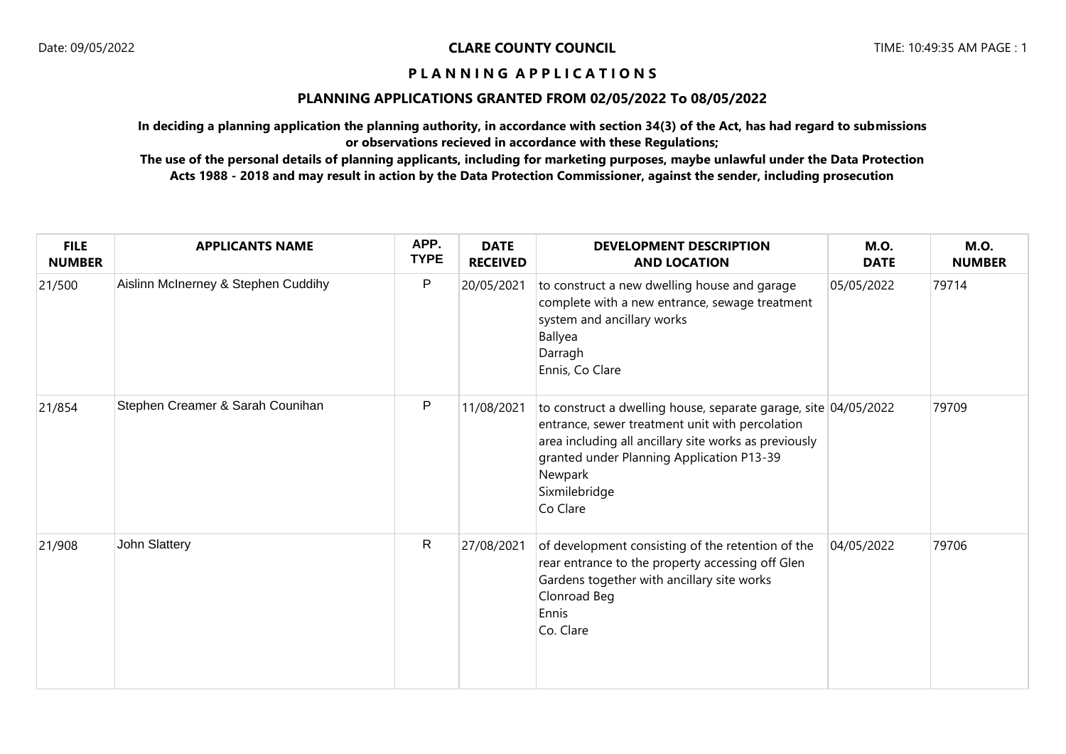# **PLANNING APPLICATIONS GRANTED FROM 02/05/2022 To 08/05/2022**

**In deciding a planning application the planning authority, in accordance with section 34(3) of the Act, has had regard to submissions or observations recieved in accordance with these Regulations;**

| <b>FILE</b><br><b>NUMBER</b> | <b>APPLICANTS NAME</b>              | APP.<br><b>TYPE</b> | <b>DATE</b><br><b>RECEIVED</b> | <b>DEVELOPMENT DESCRIPTION</b><br><b>AND LOCATION</b>                                                                                                                                                                                                            | <b>M.O.</b><br><b>DATE</b> | <b>M.O.</b><br><b>NUMBER</b> |
|------------------------------|-------------------------------------|---------------------|--------------------------------|------------------------------------------------------------------------------------------------------------------------------------------------------------------------------------------------------------------------------------------------------------------|----------------------------|------------------------------|
| 21/500                       | Aislinn McInerney & Stephen Cuddihy | $\sf P$             | 20/05/2021                     | to construct a new dwelling house and garage<br>complete with a new entrance, sewage treatment<br>system and ancillary works<br>Ballyea<br>Darragh<br>Ennis, Co Clare                                                                                            | 05/05/2022                 | 79714                        |
| 21/854                       | Stephen Creamer & Sarah Counihan    | P                   | 11/08/2021                     | to construct a dwelling house, separate garage, site 04/05/2022<br>entrance, sewer treatment unit with percolation<br>area including all ancillary site works as previously<br>granted under Planning Application P13-39<br>Newpark<br>Sixmilebridge<br>Co Clare |                            | 79709                        |
| 21/908                       | John Slattery                       | $\mathsf{R}$        | 27/08/2021                     | of development consisting of the retention of the<br>rear entrance to the property accessing off Glen<br>Gardens together with ancillary site works<br>Clonroad Beg<br>Ennis<br>Co. Clare                                                                        | 04/05/2022                 | 79706                        |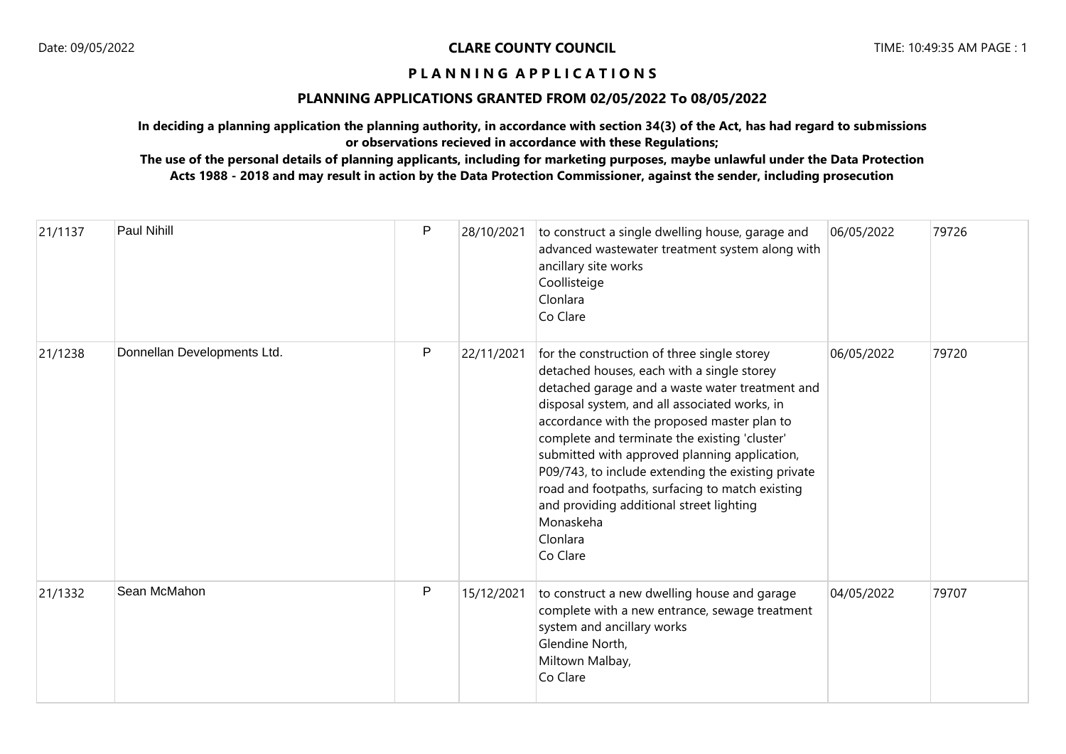## **PLANNING APPLICATIONS GRANTED FROM 02/05/2022 To 08/05/2022**

**In deciding a planning application the planning authority, in accordance with section 34(3) of the Act, has had regard to submissions or observations recieved in accordance with these Regulations;**

| 21/1137 | <b>Paul Nihill</b>          | P | 28/10/2021 | to construct a single dwelling house, garage and<br>advanced wastewater treatment system along with<br>ancillary site works<br>Coollisteige<br>Clonlara<br>Co Clare                                                                                                                                                                                                                                                                                                                                                                      | 06/05/2022 | 79726 |
|---------|-----------------------------|---|------------|------------------------------------------------------------------------------------------------------------------------------------------------------------------------------------------------------------------------------------------------------------------------------------------------------------------------------------------------------------------------------------------------------------------------------------------------------------------------------------------------------------------------------------------|------------|-------|
| 21/1238 | Donnellan Developments Ltd. | P | 22/11/2021 | for the construction of three single storey<br>detached houses, each with a single storey<br>detached garage and a waste water treatment and<br>disposal system, and all associated works, in<br>accordance with the proposed master plan to<br>complete and terminate the existing 'cluster'<br>submitted with approved planning application,<br>P09/743, to include extending the existing private<br>road and footpaths, surfacing to match existing<br>and providing additional street lighting<br>Monaskeha<br>Clonlara<br>Co Clare | 06/05/2022 | 79720 |
| 21/1332 | Sean McMahon                | P | 15/12/2021 | to construct a new dwelling house and garage<br>complete with a new entrance, sewage treatment<br>system and ancillary works<br>Glendine North,<br>Miltown Malbay,<br>Co Clare                                                                                                                                                                                                                                                                                                                                                           | 04/05/2022 | 79707 |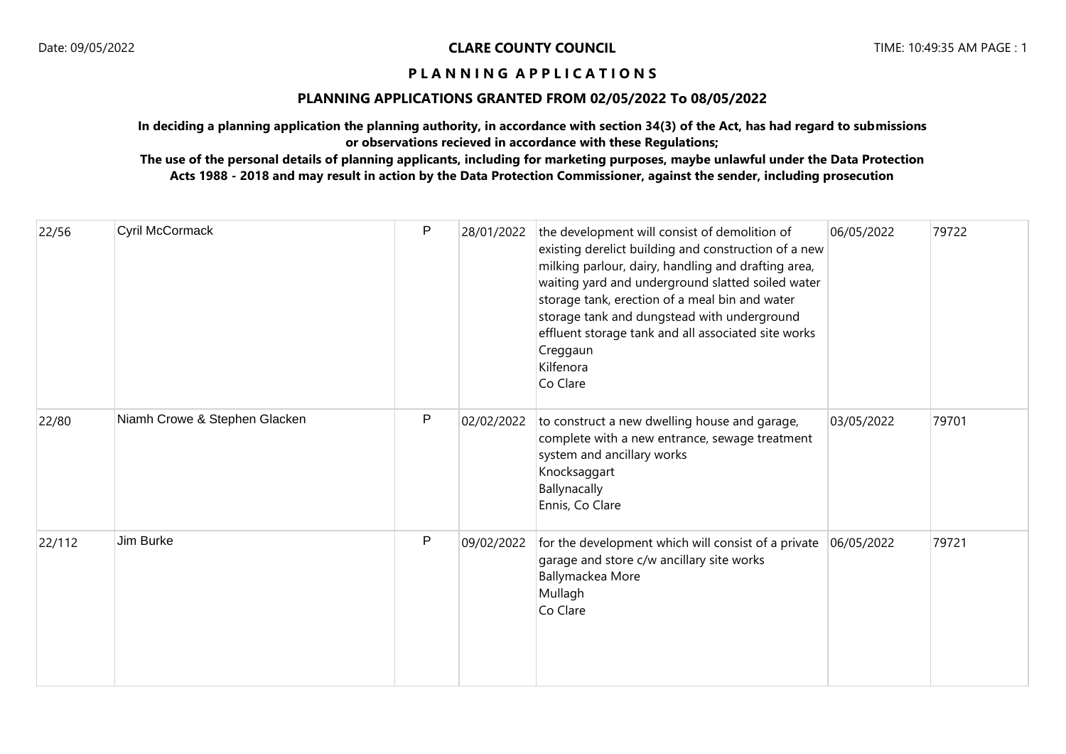## **PLANNING APPLICATIONS GRANTED FROM 02/05/2022 To 08/05/2022**

**In deciding a planning application the planning authority, in accordance with section 34(3) of the Act, has had regard to submissions or observations recieved in accordance with these Regulations;**

| 22/56  | Cyril McCormack               | P            | 28/01/2022 | the development will consist of demolition of<br>existing derelict building and construction of a new<br>milking parlour, dairy, handling and drafting area,<br>waiting yard and underground slatted soiled water<br>storage tank, erection of a meal bin and water<br>storage tank and dungstead with underground<br>effluent storage tank and all associated site works<br>Creggaun<br>Kilfenora<br>Co Clare | 06/05/2022 | 79722 |
|--------|-------------------------------|--------------|------------|----------------------------------------------------------------------------------------------------------------------------------------------------------------------------------------------------------------------------------------------------------------------------------------------------------------------------------------------------------------------------------------------------------------|------------|-------|
| 22/80  | Niamh Crowe & Stephen Glacken | $\mathsf{P}$ | 02/02/2022 | to construct a new dwelling house and garage,<br>complete with a new entrance, sewage treatment<br>system and ancillary works<br>Knocksaggart<br>Ballynacally<br>Ennis, Co Clare                                                                                                                                                                                                                               | 03/05/2022 | 79701 |
| 22/112 | Jim Burke                     | P            | 09/02/2022 | for the development which will consist of a private<br>garage and store c/w ancillary site works<br>Ballymackea More<br>Mullagh<br>Co Clare                                                                                                                                                                                                                                                                    | 06/05/2022 | 79721 |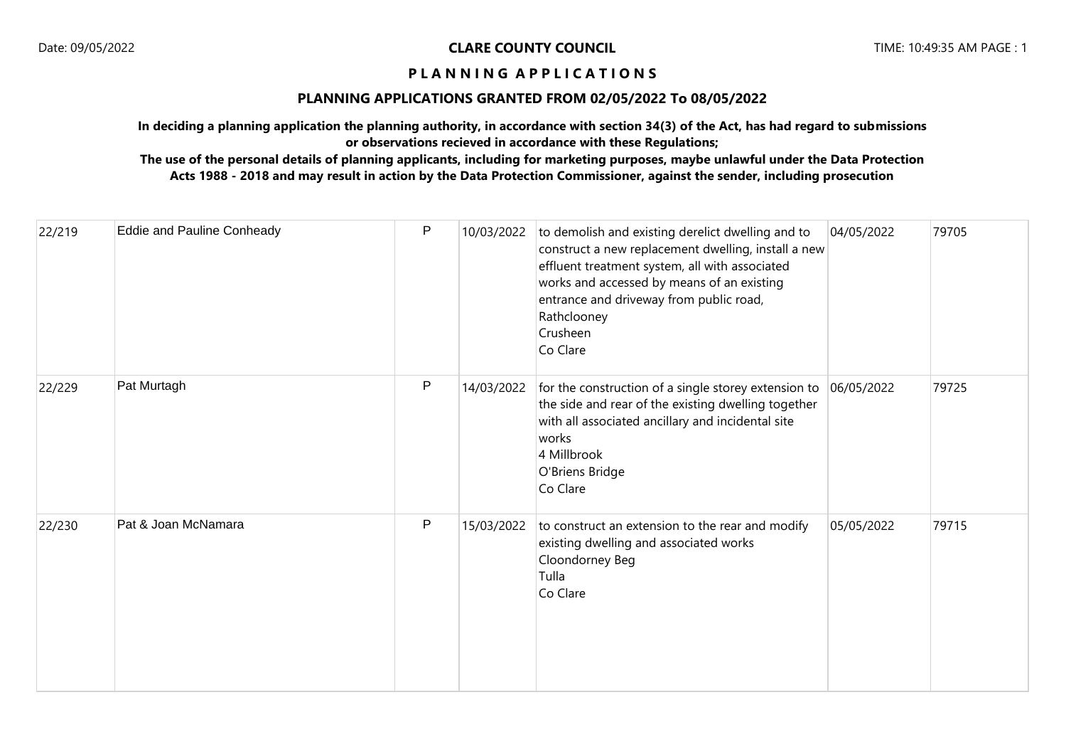## **PLANNING APPLICATIONS GRANTED FROM 02/05/2022 To 08/05/2022**

**In deciding a planning application the planning authority, in accordance with section 34(3) of the Act, has had regard to submissions or observations recieved in accordance with these Regulations;**

| 22/219 | <b>Eddie and Pauline Conheady</b> | $\mathsf{P}$ | 10/03/2022 | to demolish and existing derelict dwelling and to<br>construct a new replacement dwelling, install a new<br>effluent treatment system, all with associated<br>works and accessed by means of an existing<br>entrance and driveway from public road,<br>Rathclooney<br>Crusheen<br>Co Clare | 04/05/2022 | 79705 |
|--------|-----------------------------------|--------------|------------|--------------------------------------------------------------------------------------------------------------------------------------------------------------------------------------------------------------------------------------------------------------------------------------------|------------|-------|
| 22/229 | Pat Murtagh                       | $\mathsf{P}$ | 14/03/2022 | for the construction of a single storey extension to<br>the side and rear of the existing dwelling together<br>with all associated ancillary and incidental site<br>works<br>4 Millbrook<br>O'Briens Bridge<br>Co Clare                                                                    | 06/05/2022 | 79725 |
| 22/230 | Pat & Joan McNamara               | $\mathsf{P}$ | 15/03/2022 | to construct an extension to the rear and modify<br>existing dwelling and associated works<br>Cloondorney Beg<br>Tulla<br>Co Clare                                                                                                                                                         | 05/05/2022 | 79715 |